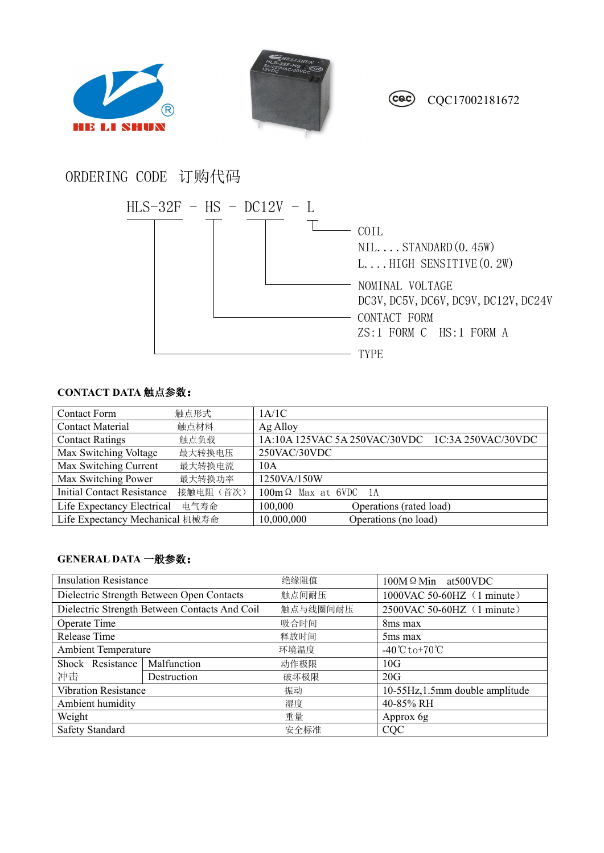





CQC17002181672

## ORDERING CODE 订购代码



## **CONTACT DATA** 触点参数:

| <b>Contact Form</b>               | 触点形式      | 1A/1C                                            |
|-----------------------------------|-----------|--------------------------------------------------|
| <b>Contact Material</b>           | 触点材料      | Ag Alloy                                         |
| <b>Contact Ratings</b>            | 触点负载      | 1A:10A 125VAC 5A 250VAC/30VDC 1C:3A 250VAC/30VDC |
| Max Switching Voltage             | 最大转换电压    | 250VAC/30VDC                                     |
| Max Switching Current             | 最大转换电流    | 10A                                              |
| Max Switching Power               | 最大转换功率    | 1250VA/150W                                      |
| <b>Initial Contact Resistance</b> | 接触电阻 (首次) | $100m\Omega$ Max at 6VDC 1A                      |
| Life Expectancy Electrical        | 电气寿命      | 100,000<br>Operations (rated load)               |
| Life Expectancy Mechanical 机械寿命   |           | 10,000,000<br>Operations (no load)               |

## **GENERAL DATA** 一般参数:

| <b>Insulation Resistance</b>                  |             | 绝缘阻值     | $100M \Omega$ Min at 500 VDC                    |  |
|-----------------------------------------------|-------------|----------|-------------------------------------------------|--|
| Dielectric Strength Between Open Contacts     |             | 触点间耐压    | 1000VAC 50-60HZ (1 minute)                      |  |
| Dielectric Strength Between Contacts And Coil |             | 触点与线圈间耐压 | 2500VAC 50-60HZ (1 minute)                      |  |
| Operate Time                                  |             | 吸合时间     | 8 <sub>ms</sub> max                             |  |
| Release Time                                  |             | 释放时间     | 5 <sub>ms</sub> max                             |  |
| <b>Ambient Temperature</b>                    |             | 环境温度     | $-40^{\circ}\text{C}$ to +70 $^{\circ}\text{C}$ |  |
| Shock Resistance                              | Malfunction | 动作极限     | 10G                                             |  |
| 冲击                                            | Destruction | 破坏极限     | 20G                                             |  |
| Vibration Resistance                          |             | 振动       | 10-55Hz, 1.5mm double amplitude                 |  |
| Ambient humidity                              |             | 湿度       | 40-85% RH                                       |  |
| Weight                                        |             | 重量       | Approx 6g                                       |  |
| Safety Standard                               |             | 安全标准     | <b>CQC</b>                                      |  |